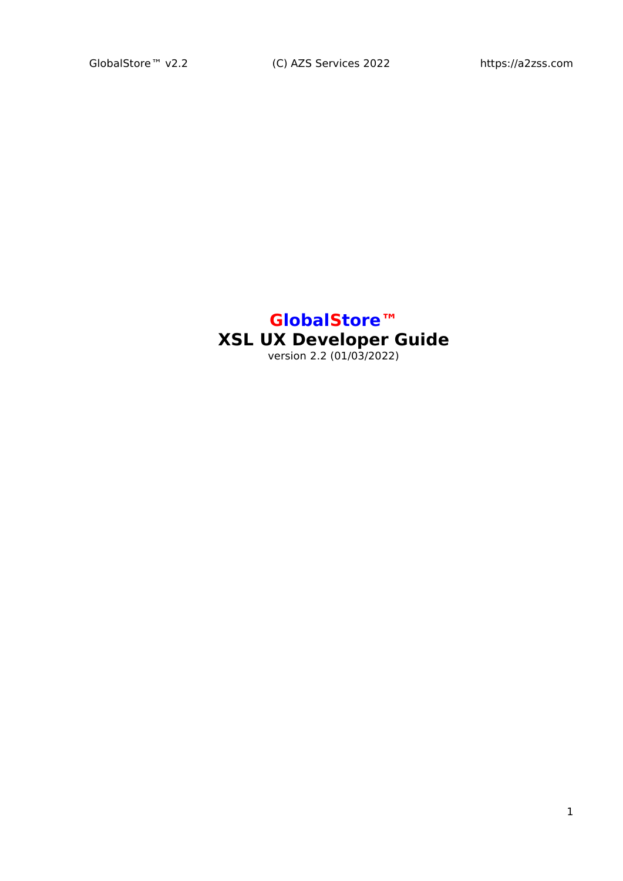#### **GlobalStore™ XSL UX Developer Guide** version 2.2 (01/03/2022)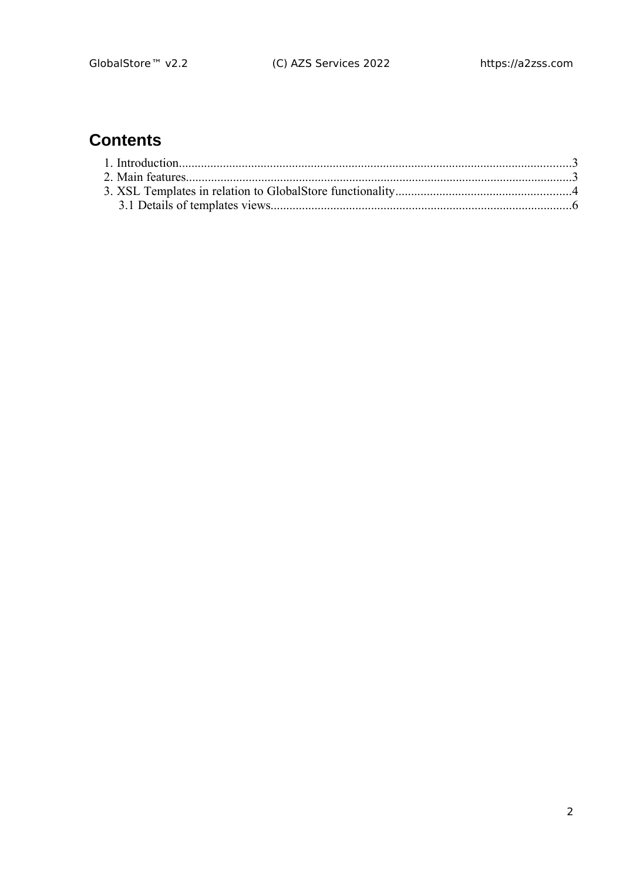# **Contents**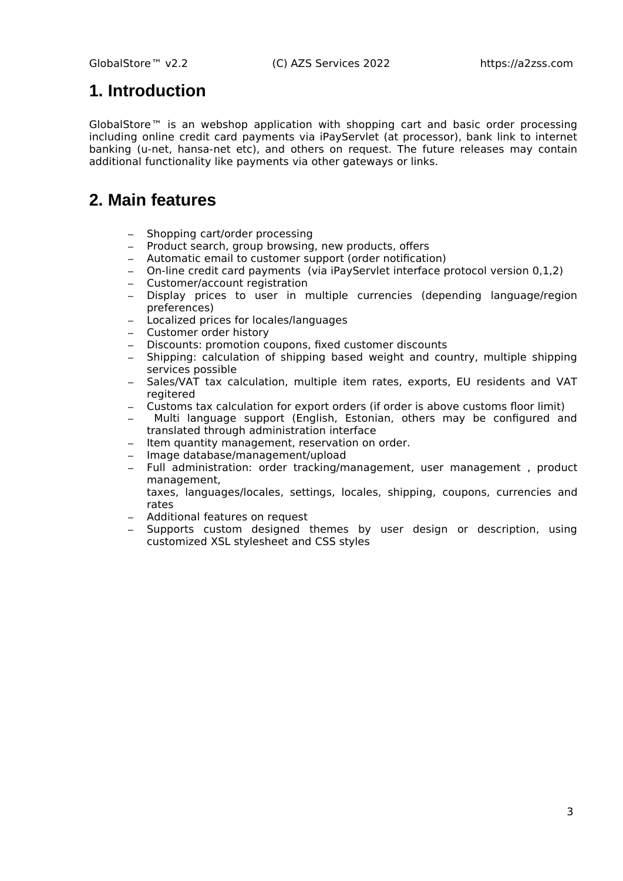### <span id="page-2-1"></span>**1. Introduction**

GlobalStore™ is an webshop application with shopping cart and basic order processing including online credit card payments via iPayServlet (at processor), bank link to internet banking (u-net, hansa-net etc), and others on request. The future releases may contain additional functionality like payments via other gateways or links.

## <span id="page-2-0"></span>**2. Main features**

- Shopping cart/order processing
- Product search, group browsing, new products, offers
- Automatic email to customer support (order notification)
- On-line credit card payments (via iPayServlet interface protocol version 0,1,2)
- Customer/account registration
- Display prices to user in multiple currencies (depending language/region preferences)
- Localized prices for locales/languages
- Customer order history
- Discounts: promotion coupons, fixed customer discounts
- Shipping: calculation of shipping based weight and country, multiple shipping services possible
- Sales/VAT tax calculation, multiple item rates, exports, EU residents and VAT regitered
- Customs tax calculation for export orders (if order is above customs floor limit)
- Multi language support (English, Estonian, others may be configured and translated through administration interface
- Item quantity management, reservation on order.
- Image database/management/upload
- Full administration: order tracking/management, user management , product management,
	- taxes, languages/locales, settings, locales, shipping, coupons, currencies and rates
- Additional features on request
- Supports custom designed themes by user design or description, using customized XSL stylesheet and CSS styles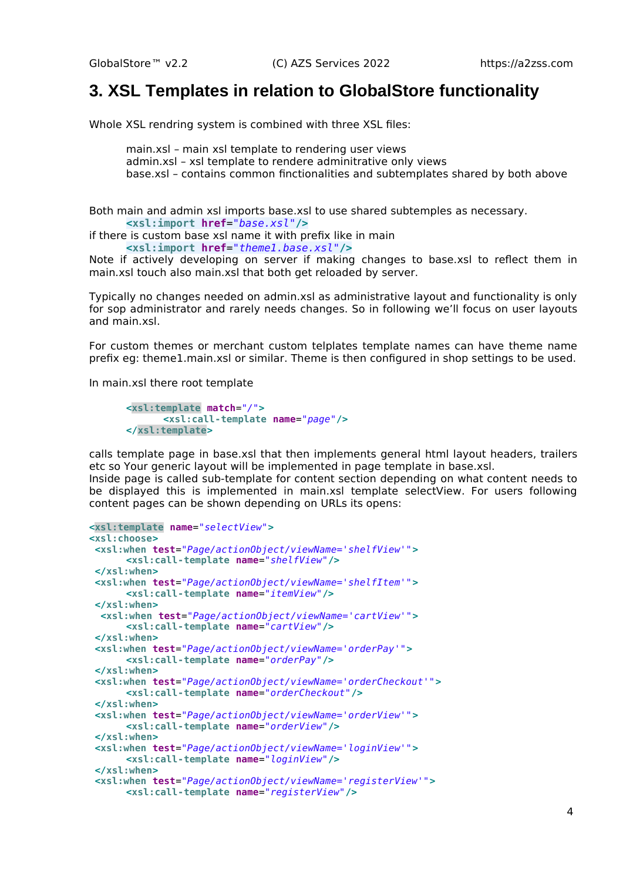#### <span id="page-3-0"></span>**3. XSL Templates in relation to GlobalStore functionality**

Whole XSL rendring system is combined with three XSL files:

main.xsl – main xsl template to rendering user views admin.xsl – xsl template to rendere adminitrative only views base.xsl – contains common finctionalities and subtemplates shared by both above

Both main and admin xsl imports base.xsl to use shared subtemples as necessary. **<xsl:import href**=*"base.xsl"***/>**

if there is custom base xsl name it with prefix like in main **<xsl:import href**=*"theme1.base.xsl"***/>**

Note if actively developing on server if making changes to base.xsl to reflect them in main.xsl touch also main.xsl that both get reloaded by server.

Typically no changes needed on admin.xsl as administrative layout and functionality is only for sop administrator and rarely needs changes. So in following we'll focus on user layouts and main.xsl.

For custom themes or merchant custom telplates template names can have theme name prefix eg: theme1.main.xsl or similar. Theme is then configured in shop settings to be used.

In main.xsl there root template

```
<xsl:template match="/">
      <xsl:call-template name="page"/>
</xsl:template>
```
calls template page in base.xsl that then implements general html layout headers, trailers etc so Your generic layout will be implemented in page template in base.xsl.

Inside page is called sub-template for content section depending on what content needs to be displayed this is implemented in main.xsl template selectView. For users following content pages can be shown depending on URLs its opens:

```
<xsl:template name="selectView">
<xsl:choose>
<xsl:when test="Page/actionObject/viewName='shelfView'">
      <xsl:call-template name="shelfView"/>
</xsl:when>
<xsl:when test="Page/actionObject/viewName='shelfItem'">
      <xsl:call-template name="itemView"/>
</xsl:when>
  <xsl:when test="Page/actionObject/viewName='cartView'">
      <xsl:call-template name="cartView"/>
</xsl:when>
<xsl:when test="Page/actionObject/viewName='orderPay'">
      <xsl:call-template name="orderPay"/>
</xsl:when>
<xsl:when test="Page/actionObject/viewName='orderCheckout'">
      <xsl:call-template name="orderCheckout"/>
</xsl:when>
<xsl:when test="Page/actionObject/viewName='orderView'">
       <xsl:call-template name="orderView"/>
</xsl:when>
<xsl:when test="Page/actionObject/viewName='loginView'">
      <xsl:call-template name="loginView"/>
</xsl:when>
<xsl:when test="Page/actionObject/viewName='registerView'">
      <xsl:call-template name="registerView"/>
```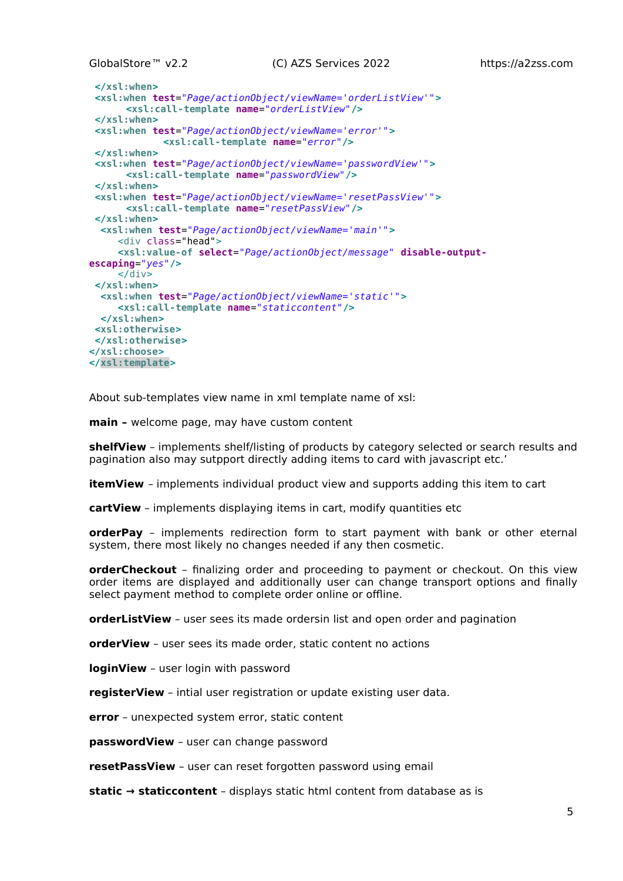```
</xsl:when>
<xsl:when test="Page/actionObject/viewName='orderListView'">
      <xsl:call-template name="orderListView"/>
</xsl:when>
<xsl:when test="Page/actionObject/viewName='error'">
            <xsl:call-template name="error"/>
</xsl:when>
<xsl:when test="Page/actionObject/viewName='passwordView'">
      <xsl:call-template name="passwordView"/>
</xsl:when>
<xsl:when test="Page/actionObject/viewName='resetPassView'">
      <xsl:call-template name="resetPassView"/>
</xsl:when>
  <xsl:when test="Page/actionObject/viewName='main'">
      <div class="head">
      <xsl:value-of select="Page/actionObject/message" disable-output-
escaping="yes"/>
     \langlediv></xsl:when>
  <xsl:when test="Page/actionObject/viewName='static'">
      <xsl:call-template name="staticcontent"/>
  </xsl:when>
<xsl:otherwise>
</xsl:otherwise>
</xsl:choose>
</xsl:template>
```
About sub-templates view name in xml template name of xsl:

**main –** welcome page, may have custom content

**shelfView** – implements shelf/listing of products by category selected or search results and pagination also may sutpport directly adding items to card with javascript etc.'

**itemView** – implements individual product view and supports adding this item to cart

**cartView** – implements displaying items in cart, modify quantities etc

**orderPay** – implements redirection form to start payment with bank or other eternal system, there most likely no changes needed if any then cosmetic.

**orderCheckout** – finalizing order and proceeding to payment or checkout. On this view order items are displayed and additionally user can change transport options and finally select payment method to complete order online or offline.

**orderListView** – user sees its made ordersin list and open order and pagination

**orderView** – user sees its made order, static content no actions

**loginView** – user login with password

**registerView** – intial user registration or update existing user data.

**error** – unexpected system error, static content

**passwordView** – user can change password

**resetPassView** – user can reset forgotten password using email

**static → staticcontent** – displays static html content from database as is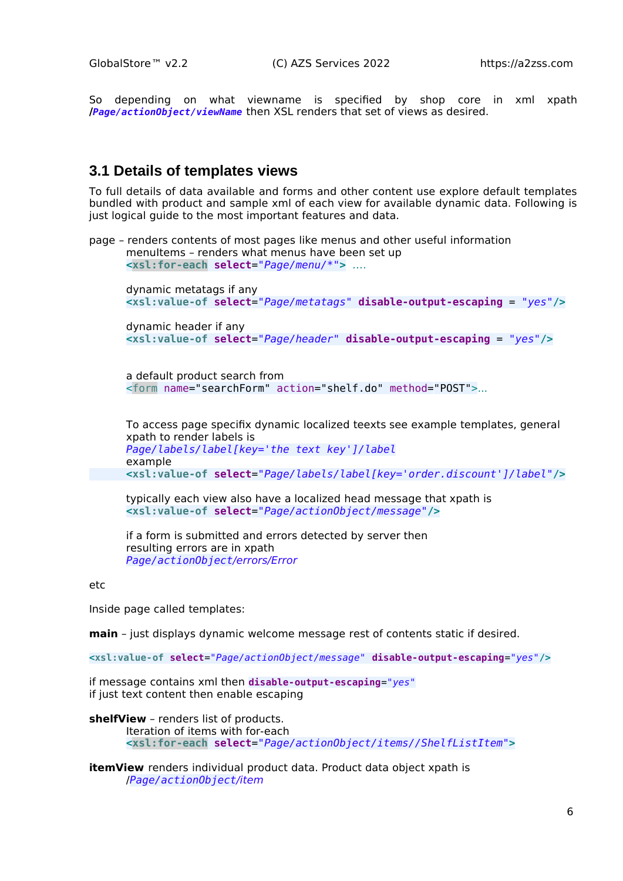So depending on what viewname is specified by shop core in xml xpath **/***Page/actionObject/viewName* then XSL renders that set of views as desired.

#### <span id="page-5-0"></span>**3.1 Details of templates views**

To full details of data available and forms and other content use explore default templates bundled with product and sample xml of each view for available dynamic data. Following is just logical guide to the most important features and data.

page – renders contents of most pages like menus and other useful information menuItems - renders what menus have been set up **<xsl:for-each select**=*"Page/menu/\*"***>** ….

dynamic metatags if any **<xsl:value-of select**=*"Page/metatags"* **disable-output-escaping** = *"yes"***/>**

dynamic header if any **<xsl:value-of select**=*"Page/header"* **disable-output-escaping** = *"yes"***/>**

a default product search from <form name="searchForm" action="shelf.do" method="POST">...

To access page specifix dynamic localized teexts see example templates, general xpath to render labels is *Page/labels/label[key='the text key']/label* example **<xsl:value-of select**=*"Page/labels/label[key='order.discount']/label"***/>**

typically each view also have a localized head message that xpath is **<xsl:value-of select**=*"Page/actionObject/message"***/>**

if a form is submitted and errors detected by server then resulting errors are in xpath *Page/actionObject*/errors/Error

etc

Inside page called templates:

**main** – just displays dynamic welcome message rest of contents static if desired.

**<xsl:value-of select**=*"Page/actionObject/message"* **disable-output-escaping**=*"yes"***/>**

if message contains xml then **disable-output-escaping**=*"yes"* if just text content then enable escaping

**shelfView** – renders list of products.

Iteration of items with for-each **<xsl:for-each select**=*"Page/actionObject/items//ShelfListItem"***>**

**itemView** renders individual product data. Product data object xpath is /*Page/actionObject*/item